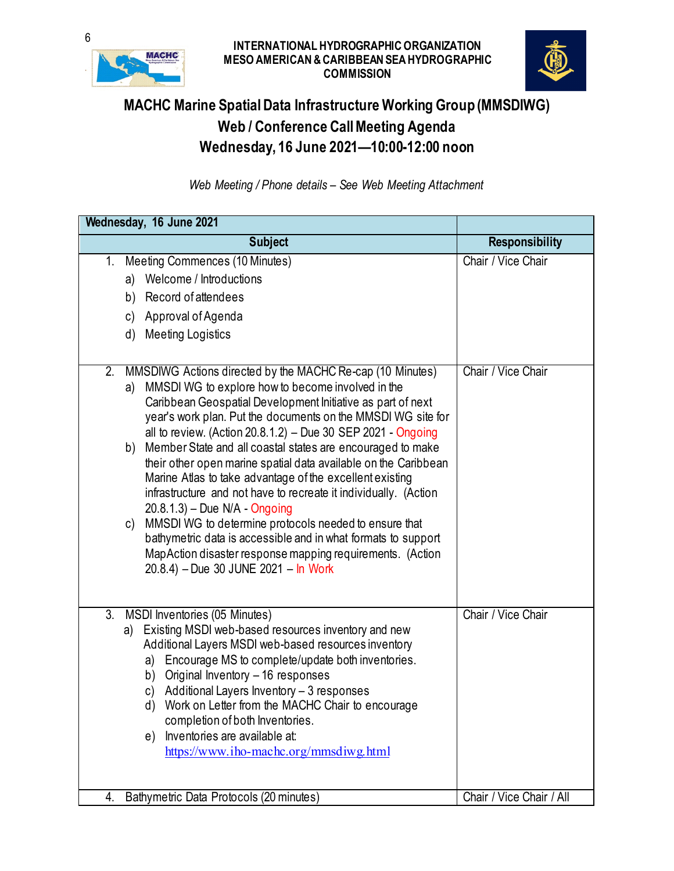

## **6**<br>INTERNATIONAL HYDROGRAPHIC ORGANIZATION **MESO AMERICAN & CARIBBEAN SEA HYDROGRAPHIC COMMISSION**



## **MACHC Marine Spatial Data Infrastructure Working Group (MMSDIWG) Web / Conference Call Meeting Agenda Wednesday, 16 June 2021—10:00-12:00 noon**

*Web Meeting / Phone details – See Web Meeting Attachment*

| Wednesday, 16 June 2021                                                                                                                                                                                                                                                                                                                                                                                                                                                                                                                                                                                                                                                                                                                                                                                                                                                 |                          |  |  |  |
|-------------------------------------------------------------------------------------------------------------------------------------------------------------------------------------------------------------------------------------------------------------------------------------------------------------------------------------------------------------------------------------------------------------------------------------------------------------------------------------------------------------------------------------------------------------------------------------------------------------------------------------------------------------------------------------------------------------------------------------------------------------------------------------------------------------------------------------------------------------------------|--------------------------|--|--|--|
| <b>Subject</b>                                                                                                                                                                                                                                                                                                                                                                                                                                                                                                                                                                                                                                                                                                                                                                                                                                                          | <b>Responsibility</b>    |  |  |  |
| Meeting Commences (10 Minutes)<br>$1_{-}$<br>a) Welcome / Introductions<br>b) Record of attendees<br>c) Approval of Agenda<br><b>Meeting Logistics</b><br>d)                                                                                                                                                                                                                                                                                                                                                                                                                                                                                                                                                                                                                                                                                                            | Chair / Vice Chair       |  |  |  |
| MMSDIWG Actions directed by the MACHC Re-cap (10 Minutes)<br>2.<br>MMSDI WG to explore how to become involved in the<br>a)<br>Caribbean Geospatial Development Initiative as part of next<br>year's work plan. Put the documents on the MMSDI WG site for<br>all to review. (Action 20.8.1.2) - Due 30 SEP 2021 - Ongoing<br>Member State and all coastal states are encouraged to make<br>b)<br>their other open marine spatial data available on the Caribbean<br>Marine Atlas to take advantage of the excellent existing<br>infrastructure and not have to recreate it individually. (Action<br>$20.8.1.3$ – Due N/A - Ongoing<br>MMSDI WG to determine protocols needed to ensure that<br>C)<br>bathymetric data is accessible and in what formats to support<br>MapAction disaster response mapping requirements. (Action<br>20.8.4) - Due 30 JUNE 2021 - In Work | Chair / Vice Chair       |  |  |  |
| 3.<br>MSDI Inventories (05 Minutes)<br>Existing MSDI web-based resources inventory and new<br>a)<br>Additional Layers MSDI web-based resources inventory<br>Encourage MS to complete/update both inventories.<br>a)<br>Original Inventory - 16 responses<br>b)<br>Additional Layers Inventory - 3 responses<br>C)<br>Work on Letter from the MACHC Chair to encourage<br>d)<br>completion of both Inventories.<br>Inventories are available at:<br>e)<br>https://www.iho-machc.org/mmsdiwg.html                                                                                                                                                                                                                                                                                                                                                                         | Chair / Vice Chair       |  |  |  |
| Bathymetric Data Protocols (20 minutes)<br>4.                                                                                                                                                                                                                                                                                                                                                                                                                                                                                                                                                                                                                                                                                                                                                                                                                           | Chair / Vice Chair / All |  |  |  |